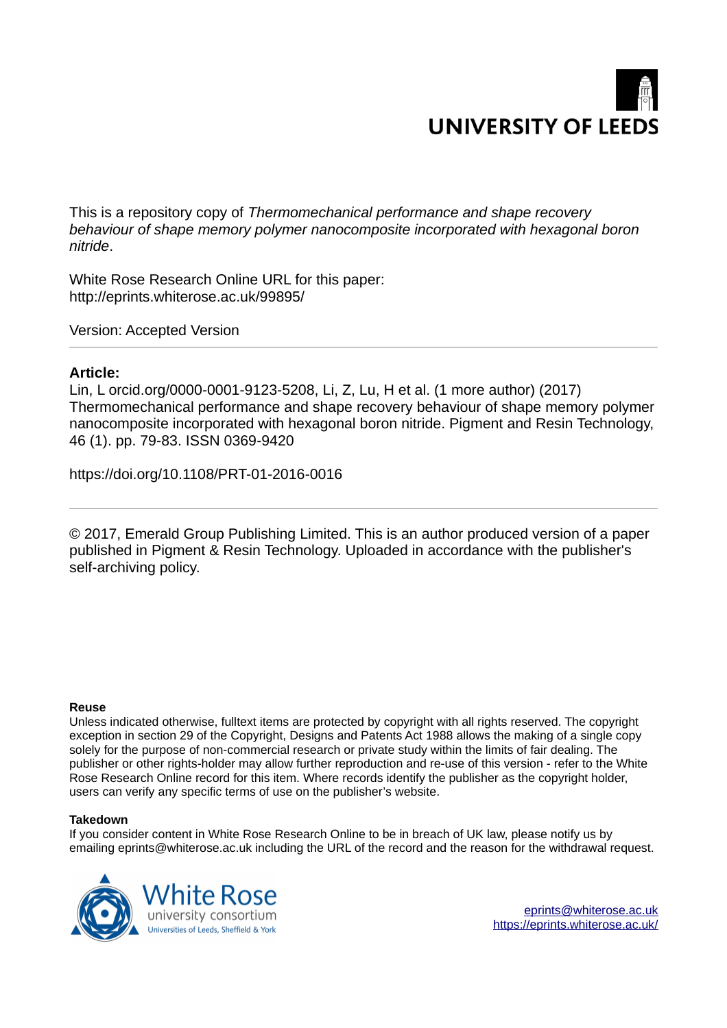

This is a repository copy of *Thermomechanical performance and shape recovery behaviour of shape memory polymer nanocomposite incorporated with hexagonal boron nitride*.

White Rose Research Online URL for this paper: http://eprints.whiterose.ac.uk/99895/

Version: Accepted Version

## **Article:**

Lin, L orcid.org/0000-0001-9123-5208, Li, Z, Lu, H et al. (1 more author) (2017) Thermomechanical performance and shape recovery behaviour of shape memory polymer nanocomposite incorporated with hexagonal boron nitride. Pigment and Resin Technology, 46 (1). pp. 79-83. ISSN 0369-9420

https://doi.org/10.1108/PRT-01-2016-0016

© 2017, Emerald Group Publishing Limited. This is an author produced version of a paper published in Pigment & Resin Technology. Uploaded in accordance with the publisher's self-archiving policy.

## **Reuse**

Unless indicated otherwise, fulltext items are protected by copyright with all rights reserved. The copyright exception in section 29 of the Copyright, Designs and Patents Act 1988 allows the making of a single copy solely for the purpose of non-commercial research or private study within the limits of fair dealing. The publisher or other rights-holder may allow further reproduction and re-use of this version - refer to the White Rose Research Online record for this item. Where records identify the publisher as the copyright holder, users can verify any specific terms of use on the publisher's website.

## **Takedown**

If you consider content in White Rose Research Online to be in breach of UK law, please notify us by emailing eprints@whiterose.ac.uk including the URL of the record and the reason for the withdrawal request.

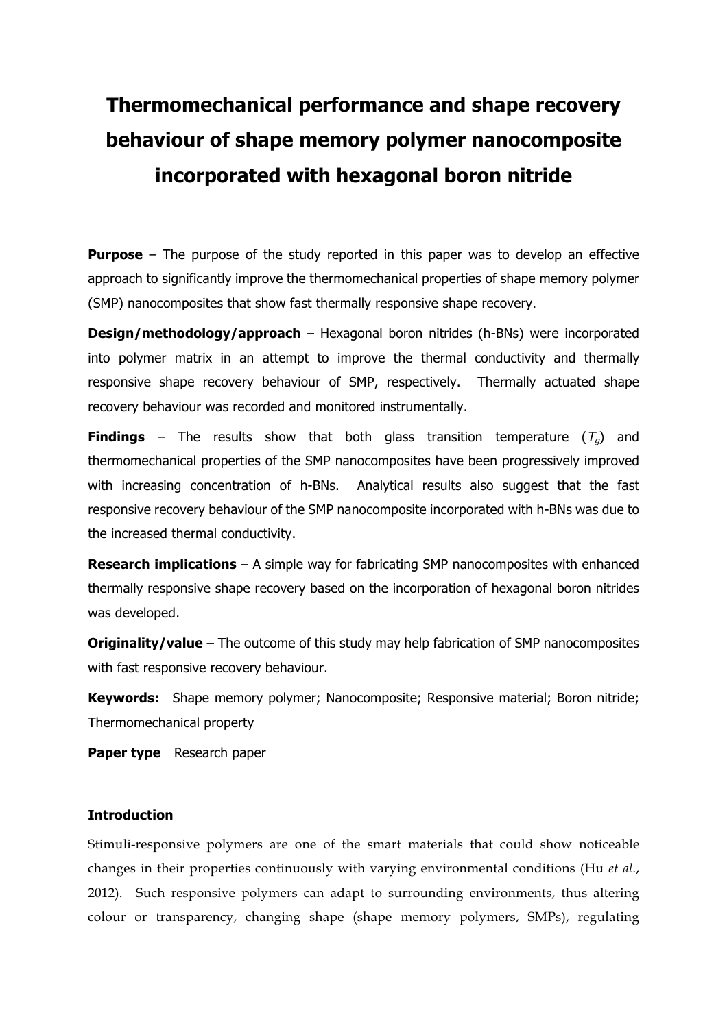# **Thermomechanical performance and shape recovery behaviour of shape memory polymer nanocomposite incorporated with hexagonal boron nitride**

**Purpose** – The purpose of the study reported in this paper was to develop an effective approach to significantly improve the thermomechanical properties of shape memory polymer (SMP) nanocomposites that show fast thermally responsive shape recovery.

**Design/methodology/approach** – Hexagonal boron nitrides (h-BNs) were incorporated into polymer matrix in an attempt to improve the thermal conductivity and thermally responsive shape recovery behaviour of SMP, respectively. Thermally actuated shape recovery behaviour was recorded and monitored instrumentally.

**Findings** – The results show that both glass transition temperature  $(T<sub>a</sub>)$  and thermomechanical properties of the SMP nanocomposites have been progressively improved with increasing concentration of h-BNs. Analytical results also suggest that the fast responsive recovery behaviour of the SMP nanocomposite incorporated with h-BNs was due to the increased thermal conductivity.

**Research implications** – A simple way for fabricating SMP nanocomposites with enhanced thermally responsive shape recovery based on the incorporation of hexagonal boron nitrides was developed.

**Originality/value** – The outcome of this study may help fabrication of SMP nanocomposites with fast responsive recovery behaviour.

**Keywords:** Shape memory polymer; Nanocomposite; Responsive material; Boron nitride; Thermomechanical property

**Paper type** Research paper

#### **Introduction**

Stimuli-responsive polymers are one of the smart materials that could show noticeable changes in their properties continuously with varying environmental conditions (Hu *et al*., 2012). Such responsive polymers can adapt to surrounding environments, thus altering colour or transparency, changing shape (shape memory polymers, SMPs), regulating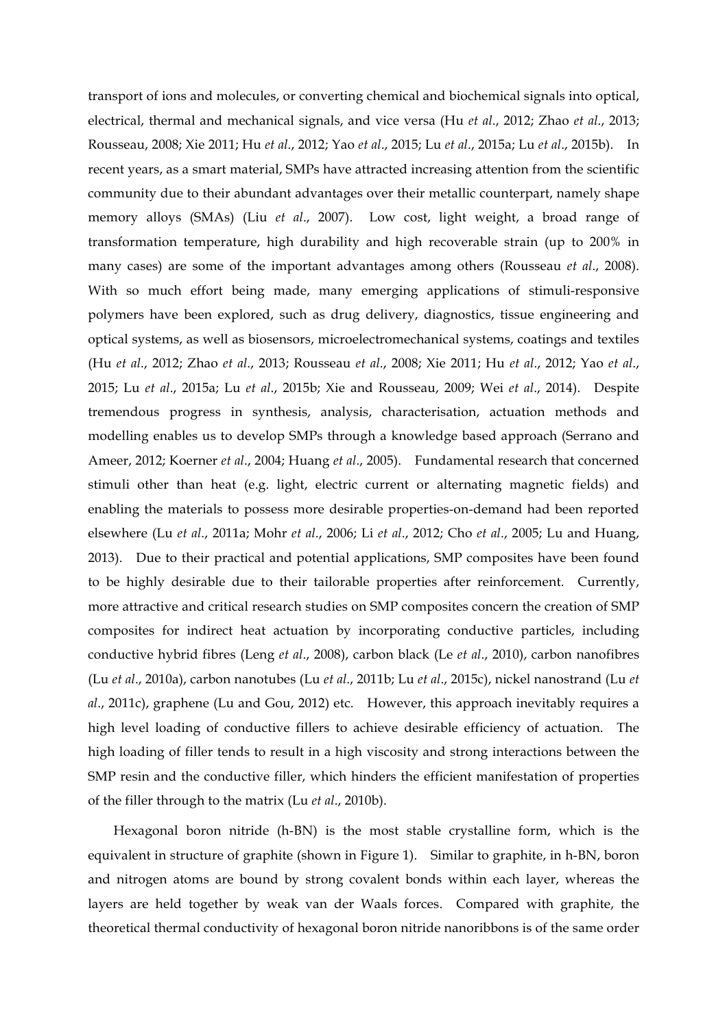transport of ions and molecules, or converting chemical and biochemical signals into optical, electrical, thermal and mechanical signals, and vice versa (Hu *et al*., 2012; Zhao *et al*., 2013; Rousseau, 2008; Xie 2011; Hu *et al*., 2012; Yao *et al*., 2015; Lu *et al*., 2015a; Lu *et al*., 2015b). In recent years, as a smart material, SMPs have attracted increasing attention from the scientific community due to their abundant advantages over their metallic counterpart, namely shape memory alloys (SMAs) (Liu *et al*., 2007). Low cost, light weight, a broad range of transformation temperature, high durability and high recoverable strain (up to 200% in many cases) are some of the important advantages among others (Rousseau *et al*., 2008). With so much effort being made, many emerging applications of stimuli-responsive polymers have been explored, such as drug delivery, diagnostics, tissue engineering and optical systems, as well as biosensors, microelectromechanical systems, coatings and textiles (Hu *et al*., 2012; Zhao *et al*., 2013; Rousseau *et al*., 2008; Xie 2011; Hu *et al*., 2012; Yao *et al*., 2015; Lu *et al*., 2015a; Lu *et al*., 2015b; Xie and Rousseau, 2009; Wei *et al*., 2014). Despite tremendous progress in synthesis, analysis, characterisation, actuation methods and modelling enables us to develop SMPs through a knowledge based approach (Serrano and Ameer, 2012; Koerner *et al*., 2004; Huang *et al*., 2005). Fundamental research that concerned stimuli other than heat (e.g. light, electric current or alternating magnetic fields) and enabling the materials to possess more desirable properties-on-demand had been reported elsewhere (Lu *et al*., 2011a; Mohr *et al*., 2006; Li *et al*., 2012; Cho *et al*., 2005; Lu and Huang, 2013). Due to their practical and potential applications, SMP composites have been found to be highly desirable due to their tailorable properties after reinforcement. Currently, more attractive and critical research studies on SMP composites concern the creation of SMP composites for indirect heat actuation by incorporating conductive particles, including conductive hybrid fibres (Leng *et al*., 2008), carbon black (Le *et al*., 2010), carbon nanofibres (Lu *et al*., 2010a), carbon nanotubes (Lu *et al*., 2011b; Lu *et al*., 2015c), nickel nanostrand (Lu *et al*., 2011c), graphene (Lu and Gou, 2012) etc. However, this approach inevitably requires a high level loading of conductive fillers to achieve desirable efficiency of actuation. The high loading of filler tends to result in a high viscosity and strong interactions between the SMP resin and the conductive filler, which hinders the efficient manifestation of properties of the filler through to the matrix (Lu *et al*., 2010b).

Hexagonal boron nitride (h-BN) is the most stable crystalline form, which is the equivalent in structure of graphite (shown in Figure 1). Similar to graphite, in h-BN, boron and nitrogen atoms are bound by strong covalent bonds within each layer, whereas the layers are held together by weak van der Waals forces. Compared with graphite, the theoretical thermal conductivity of hexagonal boron nitride nanoribbons is of the same order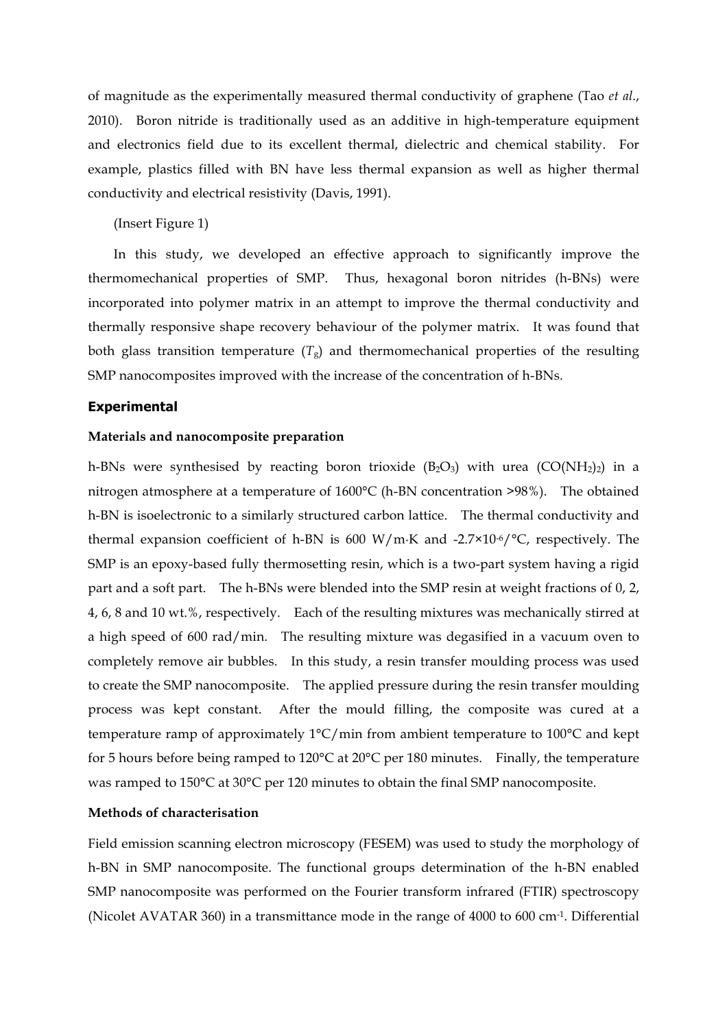of magnitude as the experimentally measured thermal conductivity of graphene (Tao *et al*., 2010). Boron nitride is traditionally used as an additive in high-temperature equipment and electronics field due to its excellent thermal, dielectric and chemical stability. For example, plastics filled with BN have less thermal expansion as well as higher thermal conductivity and electrical resistivity (Davis, 1991).

(Insert Figure 1)

In this study, we developed an effective approach to significantly improve the thermomechanical properties of SMP. Thus, hexagonal boron nitrides (h-BNs) were incorporated into polymer matrix in an attempt to improve the thermal conductivity and thermally responsive shape recovery behaviour of the polymer matrix. It was found that both glass transition temperature  $(T<sub>g</sub>)$  and thermomechanical properties of the resulting SMP nanocomposites improved with the increase of the concentration of h-BNs.

#### **Experimental**

#### **Materials and nanocomposite preparation**

h-BNs were synthesised by reacting boron trioxide  $(B_2O_3)$  with urea  $(CO(NH_2)_2)$  in a nitrogen atmosphere at a temperature of 1600°C (h-BN concentration >98%). The obtained h-BN is isoelectronic to a similarly structured carbon lattice. The thermal conductivity and thermal expansion coefficient of h-BN is 600 W/m·K and -2.7×10-6/ $\degree$ C, respectively. The SMP is an epoxy-based fully thermosetting resin, which is a two-part system having a rigid part and a soft part. The h-BNs were blended into the SMP resin at weight fractions of 0, 2, 4, 6, 8 and 10 wt.%, respectively. Each of the resulting mixtures was mechanically stirred at a high speed of 600 rad/min. The resulting mixture was degasified in a vacuum oven to completely remove air bubbles. In this study, a resin transfer moulding process was used to create the SMP nanocomposite. The applied pressure during the resin transfer moulding process was kept constant. After the mould filling, the composite was cured at a temperature ramp of approximately 1°C/min from ambient temperature to 100°C and kept for 5 hours before being ramped to 120°C at 20°C per 180 minutes. Finally, the temperature was ramped to 150°C at 30°C per 120 minutes to obtain the final SMP nanocomposite.

## **Methods of characterisation**

Field emission scanning electron microscopy (FESEM) was used to study the morphology of h-BN in SMP nanocomposite. The functional groups determination of the h-BN enabled SMP nanocomposite was performed on the Fourier transform infrared (FTIR) spectroscopy (Nicolet AVATAR 360) in a transmittance mode in the range of 4000 to 600 cm-1. Differential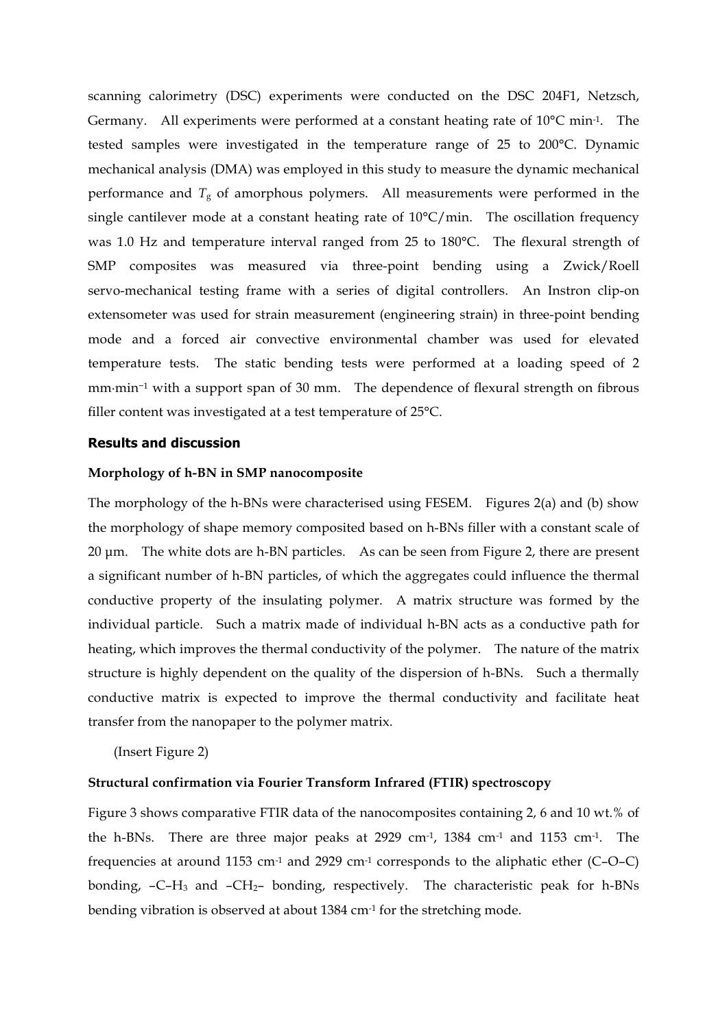scanning calorimetry (DSC) experiments were conducted on the DSC 204F1, Netzsch, Germany. All experiments were performed at a constant heating rate of  $10^{\circ}$ C min<sup>-1</sup>. The tested samples were investigated in the temperature range of 25 to 200°C. Dynamic mechanical analysis (DMA) was employed in this study to measure the dynamic mechanical performance and  $T<sub>g</sub>$  of amorphous polymers. All measurements were performed in the single cantilever mode at a constant heating rate of  $10^{\circ}$ C/min. The oscillation frequency was 1.0 Hz and temperature interval ranged from 25 to 180°C. The flexural strength of SMP composites was measured via three-point bending using a Zwick/Roell servo-mechanical testing frame with a series of digital controllers. An Instron clip-on extensometer was used for strain measurement (engineering strain) in three-point bending mode and a forced air convective environmental chamber was used for elevated temperature tests. The static bending tests were performed at a loading speed of 2 mm·min<sup>−</sup><sup>1</sup> with a support span of 30 mm. The dependence of flexural strength on fibrous filler content was investigated at a test temperature of 25°C.

#### **Results and discussion**

#### **Morphology of h-BN in SMP nanocomposite**

The morphology of the h-BNs were characterised using FESEM. Figures 2(a) and (b) show the morphology of shape memory composited based on h-BNs filler with a constant scale of 20 µm. The white dots are h-BN particles. As can be seen from Figure 2, there are present a significant number of h-BN particles, of which the aggregates could influence the thermal conductive property of the insulating polymer. A matrix structure was formed by the individual particle. Such a matrix made of individual h-BN acts as a conductive path for heating, which improves the thermal conductivity of the polymer. The nature of the matrix structure is highly dependent on the quality of the dispersion of h-BNs. Such a thermally conductive matrix is expected to improve the thermal conductivity and facilitate heat transfer from the nanopaper to the polymer matrix.

(Insert Figure 2)

## **Structural confirmation via Fourier Transform Infrared (FTIR) spectroscopy**

Figure 3 shows comparative FTIR data of the nanocomposites containing 2, 6 and 10 wt.% of the h-BNs. There are three major peaks at 2929 cm-1, 1384 cm-1 and 1153 cm-1. The frequencies at around 1153 cm-1 and 2929 cm-1 corresponds to the aliphatic ether (C–O–C) bonding, –C–H<sup>3</sup> and –CH2– bonding, respectively. The characteristic peak for h-BNs bending vibration is observed at about 1384 cm-1 for the stretching mode.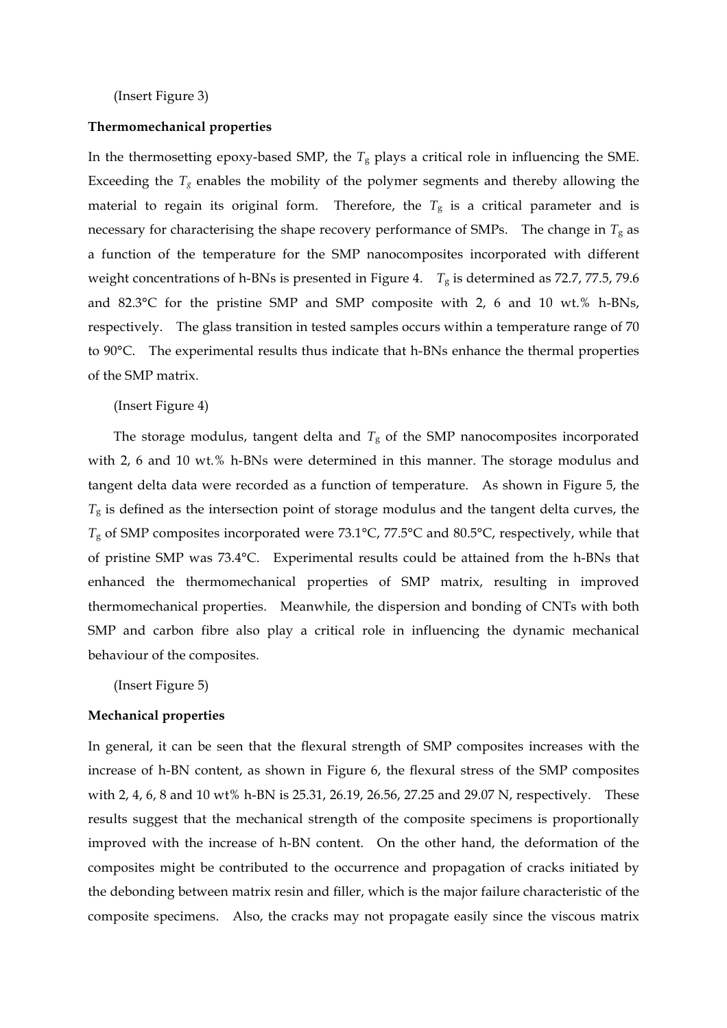(Insert Figure 3)

#### **Thermomechanical properties**

In the thermosetting epoxy-based SMP, the  $T_g$  plays a critical role in influencing the SME. Exceeding the  $T_g$  enables the mobility of the polymer segments and thereby allowing the material to regain its original form. Therefore, the  $T_g$  is a critical parameter and is necessary for characterising the shape recovery performance of SMPs. The change in  $T_g$  as a function of the temperature for the SMP nanocomposites incorporated with different weight concentrations of h-BNs is presented in Figure 4. *T*<sup>g</sup> is determined as 72.7, 77.5, 79.6 and 82.3°C for the pristine SMP and SMP composite with 2, 6 and 10 wt.% h-BNs, respectively. The glass transition in tested samples occurs within a temperature range of 70 to 90°C. The experimental results thus indicate that h-BNs enhance the thermal properties of the SMP matrix.

#### (Insert Figure 4)

The storage modulus, tangent delta and  $T_g$  of the SMP nanocomposites incorporated with 2, 6 and 10 wt.% h-BNs were determined in this manner. The storage modulus and tangent delta data were recorded as a function of temperature. As shown in Figure 5, the *T*<sup>g</sup> is defined as the intersection point of storage modulus and the tangent delta curves, the *T*<sup>g</sup> of SMP composites incorporated were 73.1°C, 77.5°C and 80.5°C, respectively, while that of pristine SMP was 73.4°C. Experimental results could be attained from the h-BNs that enhanced the thermomechanical properties of SMP matrix, resulting in improved thermomechanical properties. Meanwhile, the dispersion and bonding of CNTs with both SMP and carbon fibre also play a critical role in influencing the dynamic mechanical behaviour of the composites.

(Insert Figure 5)

#### **Mechanical properties**

In general, it can be seen that the flexural strength of SMP composites increases with the increase of h-BN content, as shown in Figure 6, the flexural stress of the SMP composites with 2, 4, 6, 8 and 10 wt% h-BN is 25.31, 26.19, 26.56, 27.25 and 29.07 N, respectively. These results suggest that the mechanical strength of the composite specimens is proportionally improved with the increase of h-BN content. On the other hand, the deformation of the composites might be contributed to the occurrence and propagation of cracks initiated by the debonding between matrix resin and filler, which is the major failure characteristic of the composite specimens. Also, the cracks may not propagate easily since the viscous matrix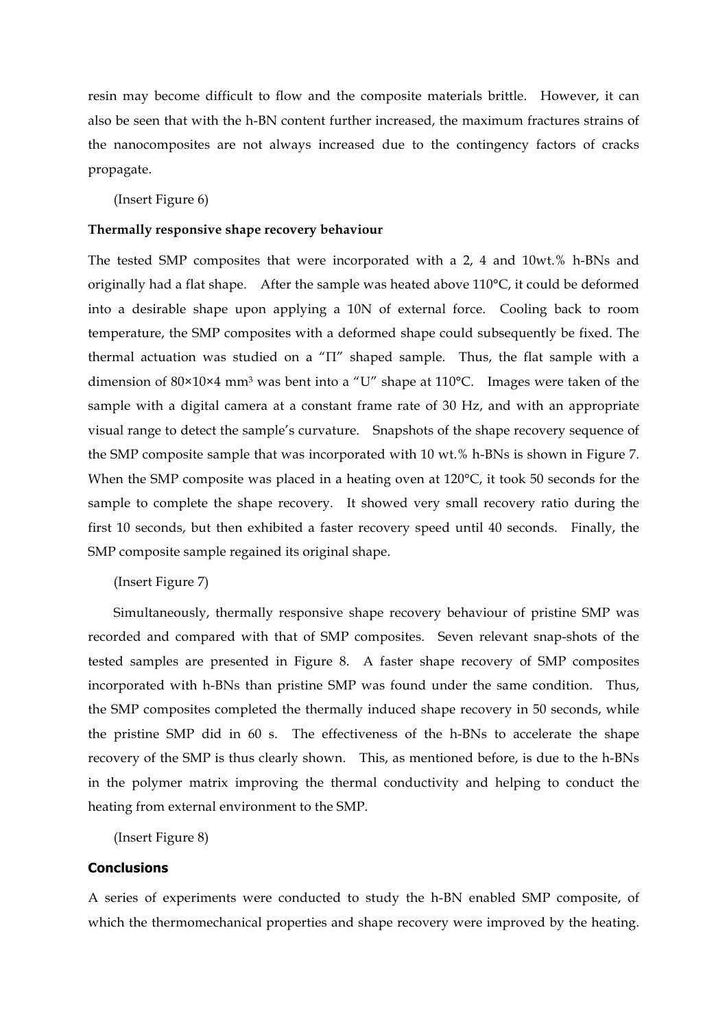resin may become difficult to flow and the composite materials brittle. However, it can also be seen that with the h-BN content further increased, the maximum fractures strains of the nanocomposites are not always increased due to the contingency factors of cracks propagate.

(Insert Figure 6)

#### **Thermally responsive shape recovery behaviour**

The tested SMP composites that were incorporated with a 2, 4 and 10wt.% h-BNs and originally had a flat shape. After the sample was heated above 110°C, it could be deformed into a desirable shape upon applying a 10N of external force. Cooling back to room temperature, the SMP composites with a deformed shape could subsequently be fixed. The thermal actuation was studied on a "Π" shaped sample. Thus, the flat sample with a dimension of 80×10×4 mm<sup>3</sup> was bent into a "U" shape at 110°C. Images were taken of the sample with a digital camera at a constant frame rate of 30 Hz, and with an appropriate visual range to detect the sample's curvature. Snapshots of the shape recovery sequence of the SMP composite sample that was incorporated with 10 wt.% h-BNs is shown in Figure 7. When the SMP composite was placed in a heating oven at 120°C, it took 50 seconds for the sample to complete the shape recovery. It showed very small recovery ratio during the first 10 seconds, but then exhibited a faster recovery speed until 40 seconds. Finally, the SMP composite sample regained its original shape.

## (Insert Figure 7)

Simultaneously, thermally responsive shape recovery behaviour of pristine SMP was recorded and compared with that of SMP composites. Seven relevant snap-shots of the tested samples are presented in Figure 8. A faster shape recovery of SMP composites incorporated with h-BNs than pristine SMP was found under the same condition. Thus, the SMP composites completed the thermally induced shape recovery in 50 seconds, while the pristine SMP did in 60 s. The effectiveness of the h-BNs to accelerate the shape recovery of the SMP is thus clearly shown. This, as mentioned before, is due to the h-BNs in the polymer matrix improving the thermal conductivity and helping to conduct the heating from external environment to the SMP.

(Insert Figure 8)

## **Conclusions**

A series of experiments were conducted to study the h-BN enabled SMP composite, of which the thermomechanical properties and shape recovery were improved by the heating.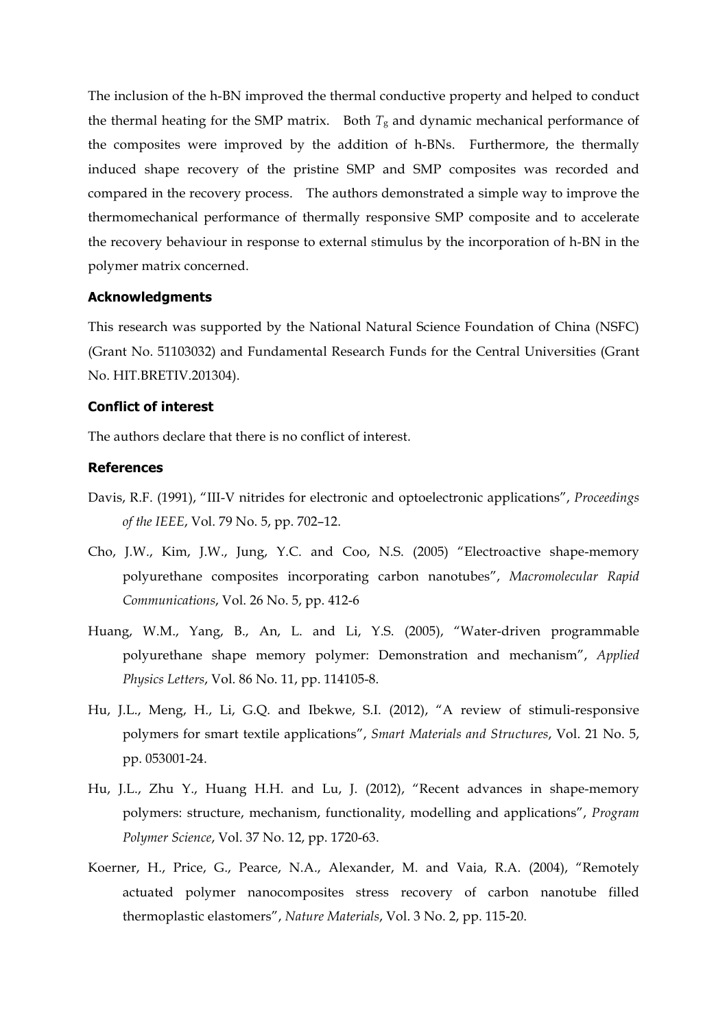The inclusion of the h-BN improved the thermal conductive property and helped to conduct the thermal heating for the SMP matrix. Both  $T_g$  and dynamic mechanical performance of the composites were improved by the addition of h-BNs. Furthermore, the thermally induced shape recovery of the pristine SMP and SMP composites was recorded and compared in the recovery process. The authors demonstrated a simple way to improve the thermomechanical performance of thermally responsive SMP composite and to accelerate the recovery behaviour in response to external stimulus by the incorporation of h-BN in the polymer matrix concerned.

#### **Acknowledgments**

This research was supported by the National Natural Science Foundation of China (NSFC) (Grant No. 51103032) and Fundamental Research Funds for the Central Universities (Grant No. HIT.BRETIV.201304).

## **Conflict of interest**

The authors declare that there is no conflict of interest.

## **References**

- Davis, R.F. (1991), "III-V nitrides for electronic and optoelectronic applications", *Proceedings of the IEEE*, Vol. 79 No. 5, pp. 702–12.
- Cho, J.W., Kim, J.W., Jung, Y.C. and Coo, N.S. (2005) "Electroactive shape-memory polyurethane composites incorporating carbon nanotubes", *Macromolecular Rapid Communications*, Vol. 26 No. 5, pp. 412-6
- Huang, W.M., Yang, B., An, L. and Li, Y.S. (2005), "Water-driven programmable polyurethane shape memory polymer: Demonstration and mechanism", *Applied Physics Letters*, Vol. 86 No. 11, pp. 114105-8.
- Hu, J.L., Meng, H., Li, G.Q. and Ibekwe, S.I. (2012), "A review of stimuli-responsive polymers for smart textile applications", *Smart Materials and Structures*, Vol. 21 No. 5, pp. 053001-24.
- Hu, J.L., Zhu Y., Huang H.H. and Lu, J. (2012), "Recent advances in shape-memory polymers: structure, mechanism, functionality, modelling and applications", *Program Polymer Science*, Vol. 37 No. 12, pp. 1720-63.
- Koerner, H., Price, G., Pearce, N.A., Alexander, M. and Vaia, R.A. (2004), "Remotely actuated polymer nanocomposites stress recovery of carbon nanotube filled thermoplastic elastomers", *Nature Materials*, Vol. 3 No. 2, pp. 115-20.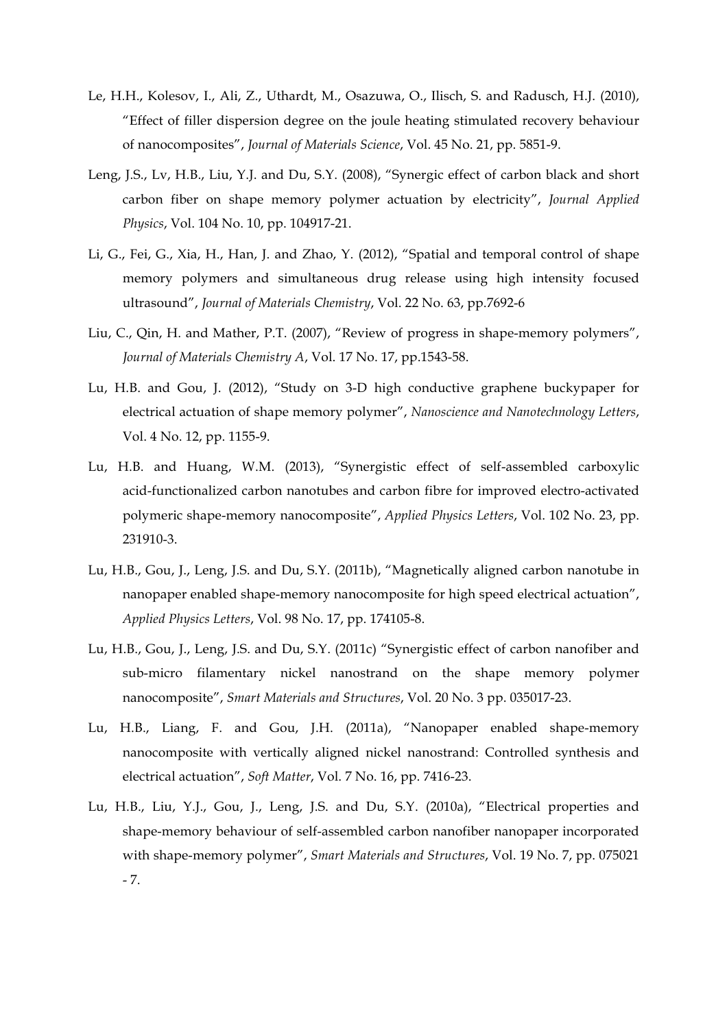- Le, H.H., Kolesov, I., Ali, Z., Uthardt, M., Osazuwa, O., Ilisch, S. and Radusch, H.J. (2010), "Effect of filler dispersion degree on the joule heating stimulated recovery behaviour of nanocomposites", *Journal of Materials Science*, Vol. 45 No. 21, pp. 5851-9.
- Leng, J.S., Lv, H.B., Liu, Y.J. and Du, S.Y. (2008), "Synergic effect of carbon black and short carbon fiber on shape memory polymer actuation by electricity", *Journal Applied Physics*, Vol. 104 No. 10, pp. 104917-21.
- Li, G., Fei, G., Xia, H., Han, J. and Zhao, Y. (2012), "Spatial and temporal control of shape memory polymers and simultaneous drug release using high intensity focused ultrasound", *Journal of Materials Chemistry*, Vol. 22 No. 63, pp.7692-6
- Liu, C., Qin, H. and Mather, P.T. (2007), "Review of progress in shape-memory polymers", *Journal of Materials Chemistry A*, Vol. 17 No. 17, pp.1543-58.
- Lu, H.B. and Gou, J. (2012), "Study on 3-D high conductive graphene buckypaper for electrical actuation of shape memory polymer", *Nanoscience and Nanotechnology Letters*, Vol. 4 No. 12, pp. 1155-9.
- Lu, H.B. and Huang, W.M. (2013), "Synergistic effect of self-assembled carboxylic acid-functionalized carbon nanotubes and carbon fibre for improved electro-activated polymeric shape-memory nanocomposite", *Applied Physics Letters*, Vol. 102 No. 23, pp. 231910-3.
- Lu, H.B., Gou, J., Leng, J.S. and Du, S.Y. (2011b), "Magnetically aligned carbon nanotube in nanopaper enabled shape-memory nanocomposite for high speed electrical actuation", *Applied Physics Letters*, Vol. 98 No. 17, pp. 174105-8.
- Lu, H.B., Gou, J., Leng, J.S. and Du, S.Y. (2011c) "Synergistic effect of carbon nanofiber and sub-micro filamentary nickel nanostrand on the shape memory polymer nanocomposite", *Smart Materials and Structures*, Vol. 20 No. 3 pp. 035017-23.
- Lu, H.B., Liang, F. and Gou, J.H. (2011a), "Nanopaper enabled shape-memory nanocomposite with vertically aligned nickel nanostrand: Controlled synthesis and electrical actuation", *Soft Matter*, Vol. 7 No. 16, pp. 7416-23.
- Lu, H.B., Liu, Y.J., Gou, J., Leng, J.S. and Du, S.Y. (2010a), "Electrical properties and shape-memory behaviour of self-assembled carbon nanofiber nanopaper incorporated with shape-memory polymer", *Smart Materials and Structures*, Vol. 19 No. 7, pp. 075021 - 7.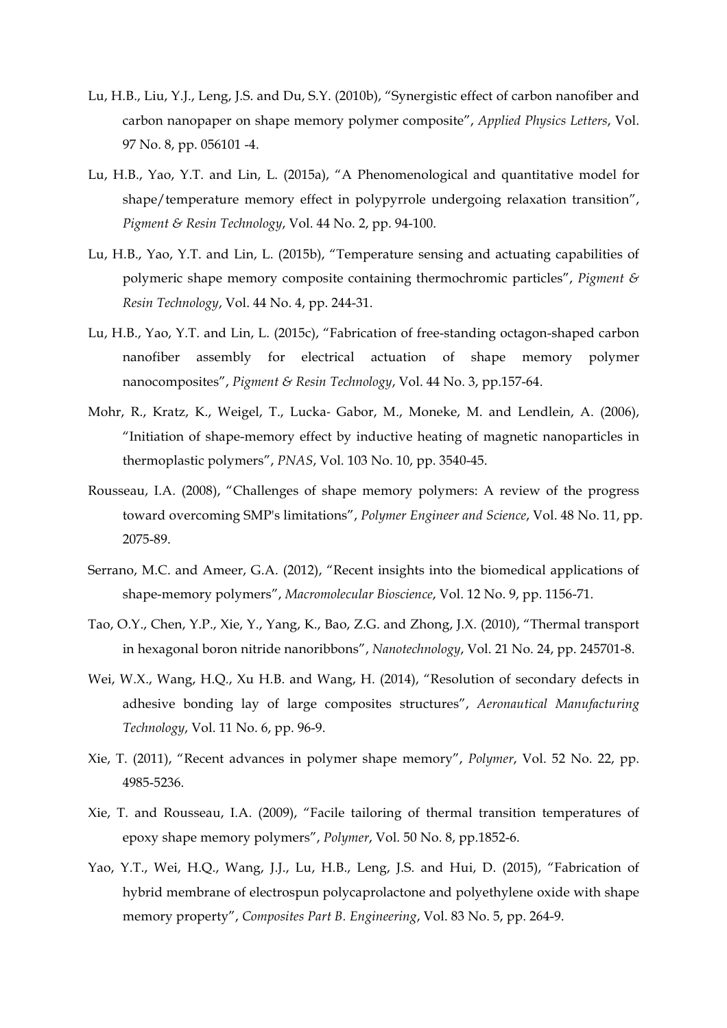- Lu, H.B., Liu, Y.J., Leng, J.S. and Du, S.Y. (2010b), "Synergistic effect of carbon nanofiber and carbon nanopaper on shape memory polymer composite", *Applied Physics Letters*, Vol. 97 No. 8, pp. 056101 -4.
- Lu, H.B., Yao, Y.T. and Lin, L. (2015a), "A Phenomenological and quantitative model for shape/temperature memory effect in polypyrrole undergoing relaxation transition", *Pigment & Resin Technology*, Vol. 44 No. 2, pp. 94-100.
- Lu, H.B., Yao, Y.T. and Lin, L. (2015b), "Temperature sensing and actuating capabilities of polymeric shape memory composite containing thermochromic particles", *Pigment & Resin Technology*, Vol. 44 No. 4, pp. 244-31.
- Lu, H.B., Yao, Y.T. and Lin, L. (2015c), "Fabrication of free-standing octagon-shaped carbon nanofiber assembly for electrical actuation of shape memory polymer nanocomposites", *Pigment & Resin Technology*, Vol. 44 No. 3, pp.157-64.
- Mohr, R., Kratz, K., Weigel, T., Lucka- Gabor, M., Moneke, M. and Lendlein, A. (2006), "Initiation of shape-memory effect by inductive heating of magnetic nanoparticles in thermoplastic polymers", *PNAS*, Vol. 103 No. 10, pp. 3540-45.
- Rousseau, I.A. (2008), "Challenges of shape memory polymers: A review of the progress toward overcoming SMP's limitations", *Polymer Engineer and Science*, Vol. 48 No. 11, pp. 2075-89.
- Serrano, M.C. and Ameer, G.A. (2012), "Recent insights into the biomedical applications of shape-memory polymers", *Macromolecular Bioscience*, Vol. 12 No. 9, pp. 1156-71.
- Tao, O.Y., Chen, Y.P., Xie, Y., Yang, K., Bao, Z.G. and Zhong, J.X. (2010), "Thermal transport in hexagonal boron nitride nanoribbons", *Nanotechnology*, Vol. 21 No. 24, pp. 245701-8.
- Wei, W.X., Wang, H.Q., Xu H.B. and Wang, H. (2014), "Resolution of secondary defects in adhesive bonding lay of large composites structures", *Aeronautical Manufacturing Technology*, Vol. 11 No. 6, pp. 96-9.
- Xie, T. (2011), "Recent advances in polymer shape memory", *Polymer*, Vol. 52 No. 22, pp. 4985-5236.
- Xie, T. and Rousseau, I.A. (2009), "Facile tailoring of thermal transition temperatures of epoxy shape memory polymers", *Polymer*, Vol. 50 No. 8, pp.1852-6.
- Yao, Y.T., Wei, H.Q., Wang, J.J., Lu, H.B., Leng, J.S. and Hui, D. (2015), "Fabrication of hybrid membrane of electrospun polycaprolactone and polyethylene oxide with shape memory property", *Composites Part B. Engineering*, Vol. 83 No. 5, pp. 264-9.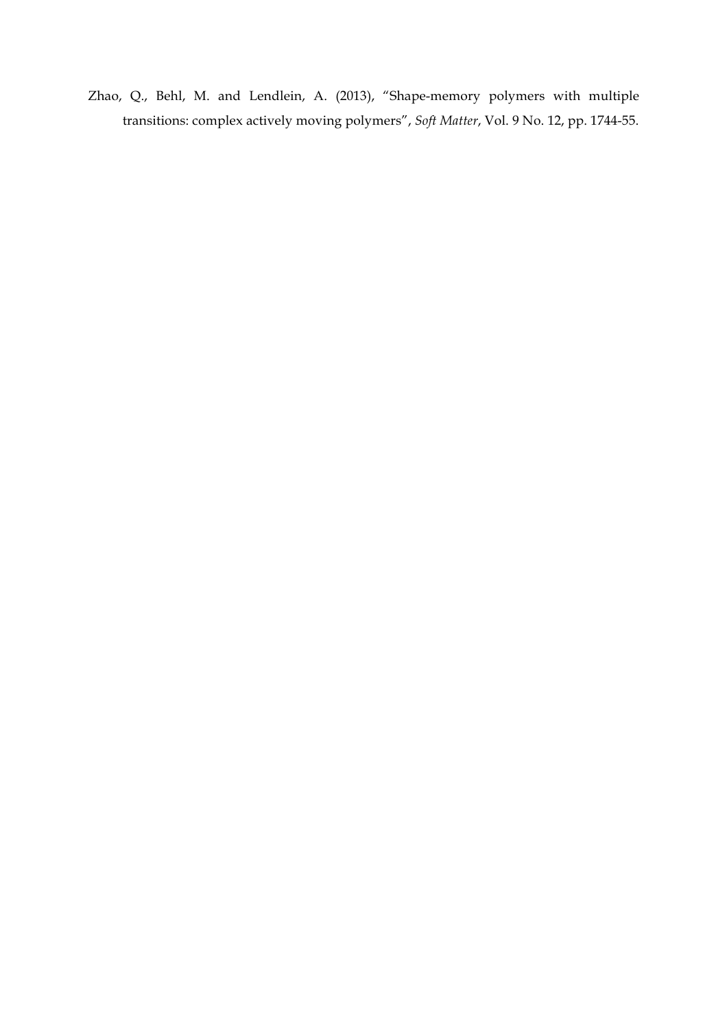Zhao, Q., Behl, M. and Lendlein, A. (2013), "Shape-memory polymers with multiple transitions: complex actively moving polymers", *Soft Matter*, Vol. 9 No. 12, pp. 1744-55.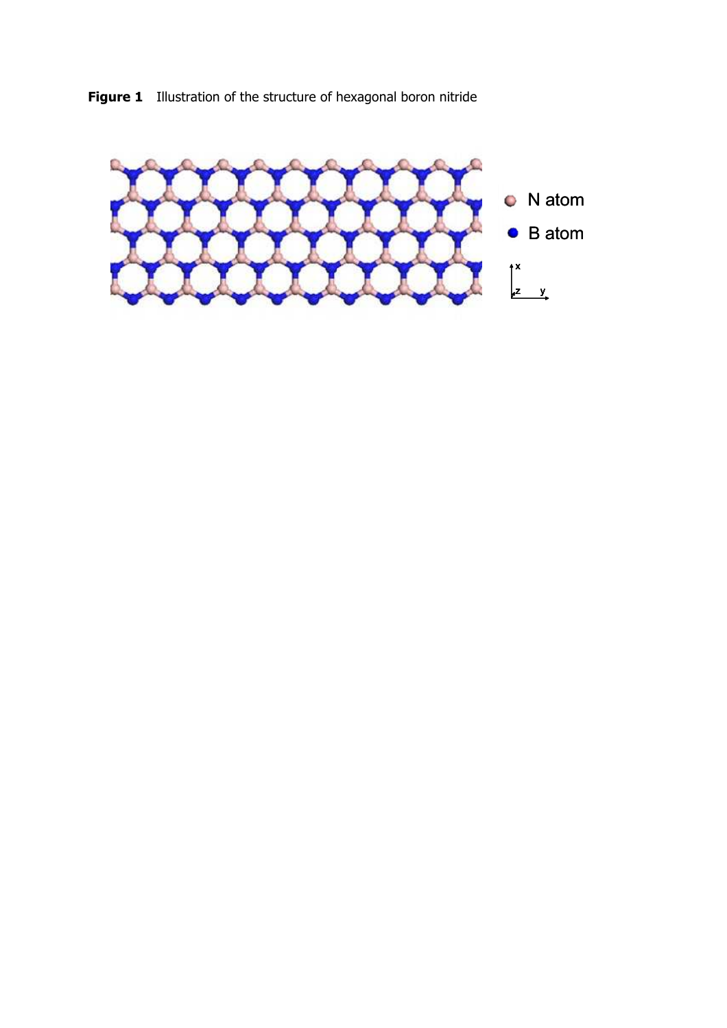**Figure 1** Illustration of the structure of hexagonal boron nitride

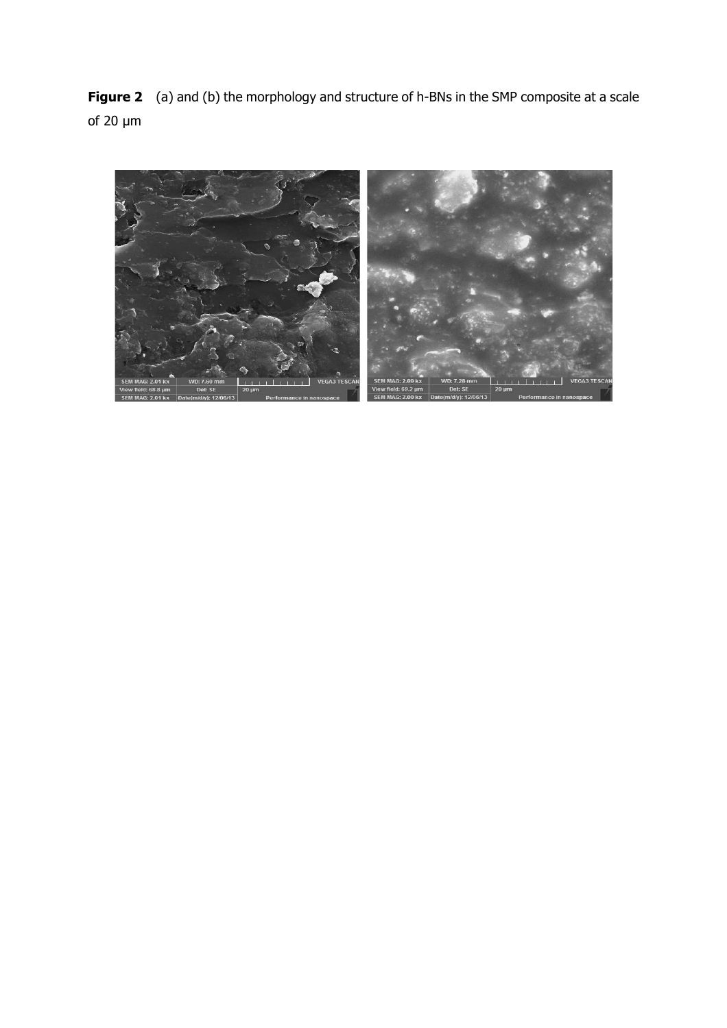**Figure 2** (a) and (b) the morphology and structure of h-BNs in the SMP composite at a scale of 20 µm

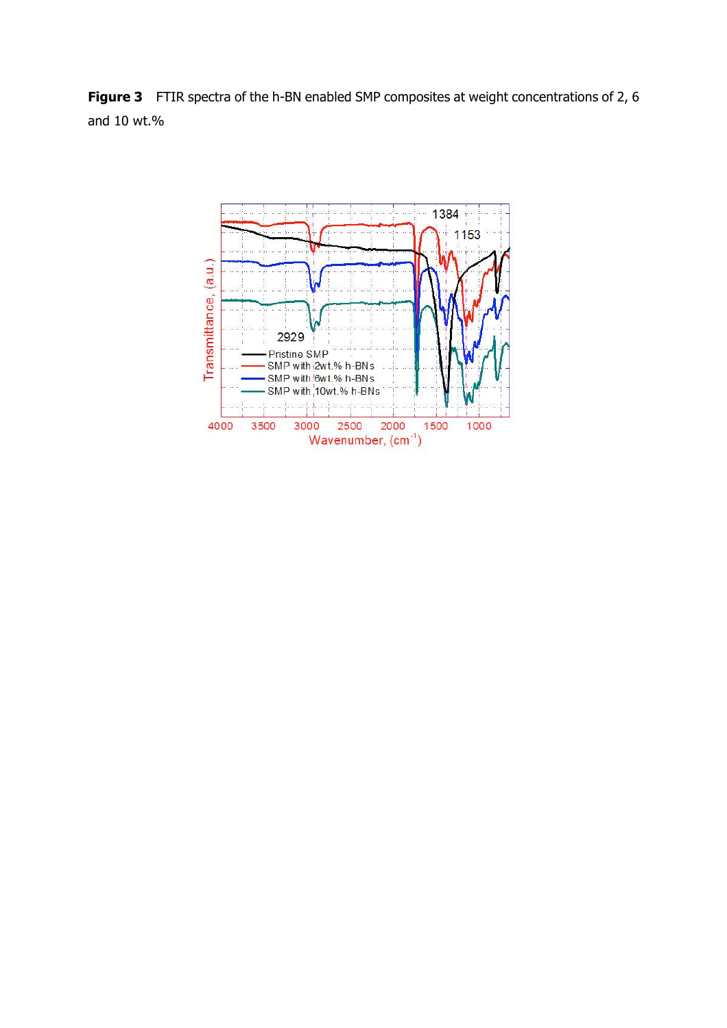**Figure 3** FTIR spectra of the h-BN enabled SMP composites at weight concentrations of 2, 6 and 10 wt.%

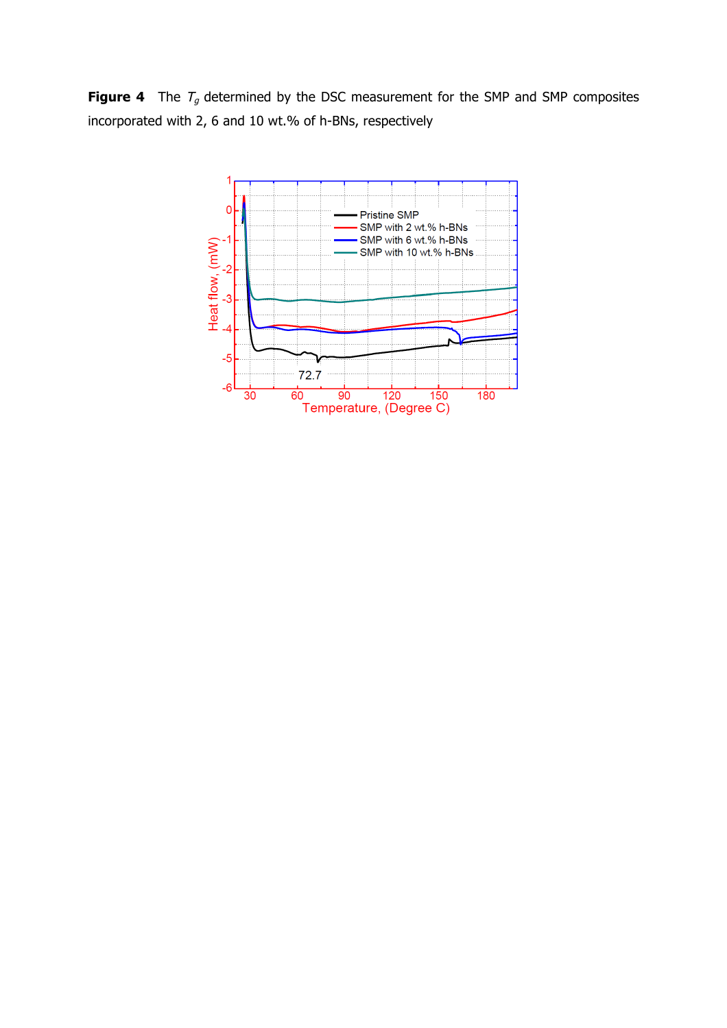**Figure 4** The  $T_g$  determined by the DSC measurement for the SMP and SMP composites incorporated with 2, 6 and 10 wt.% of h-BNs, respectively

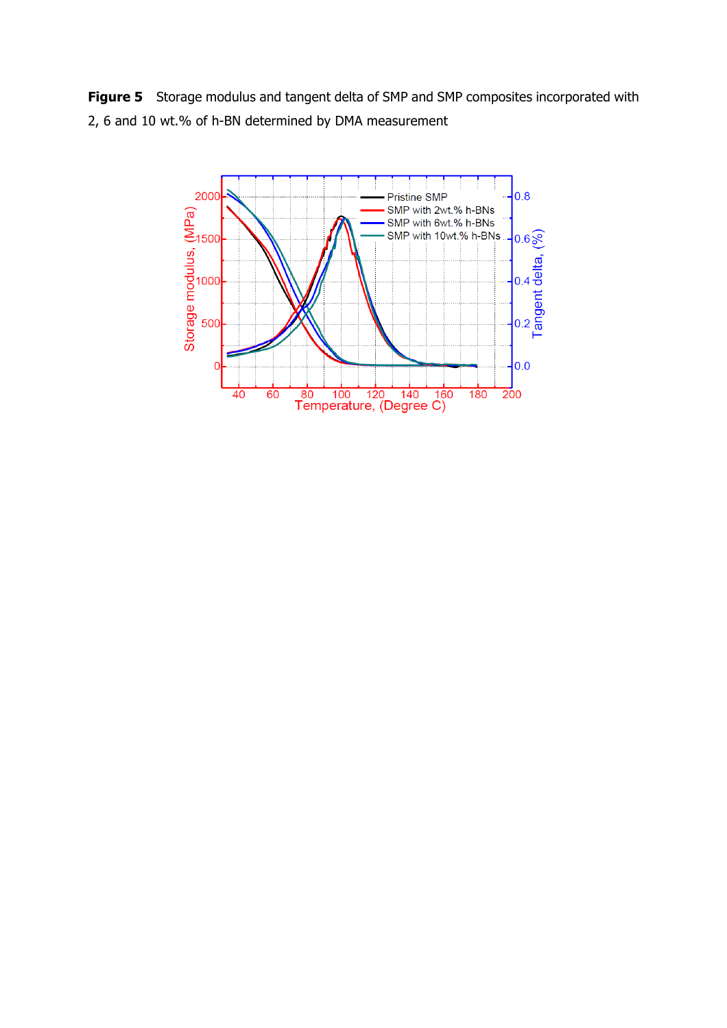**Figure 5** Storage modulus and tangent delta of SMP and SMP composites incorporated with 2, 6 and 10 wt.% of h-BN determined by DMA measurement

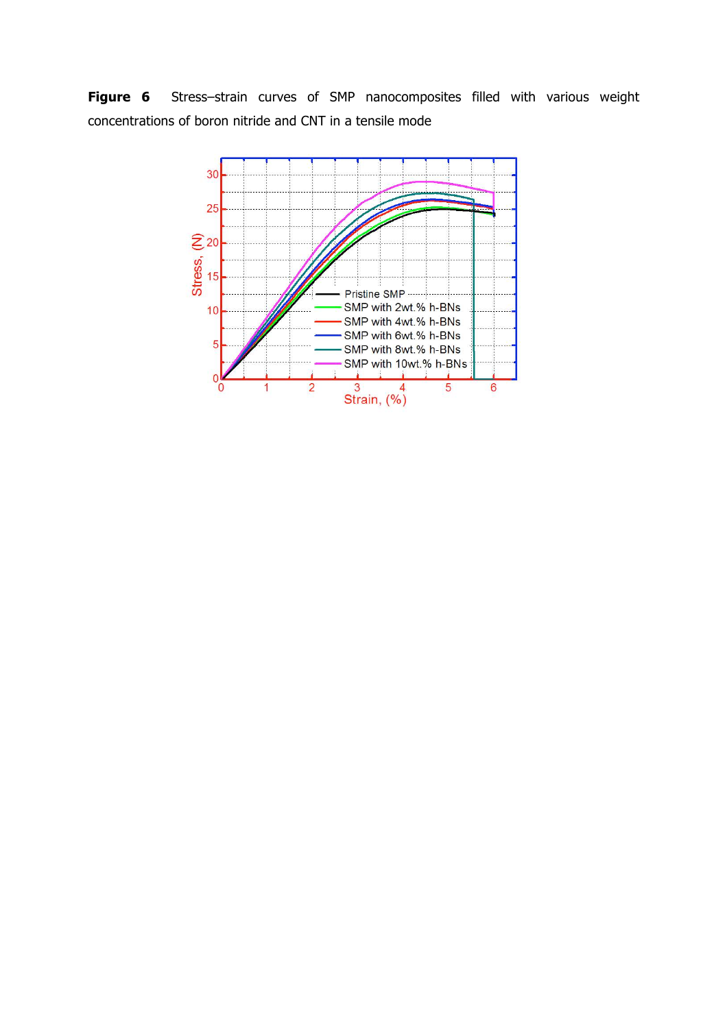**Figure 6** Stress–strain curves of SMP nanocomposites filled with various weight concentrations of boron nitride and CNT in a tensile mode

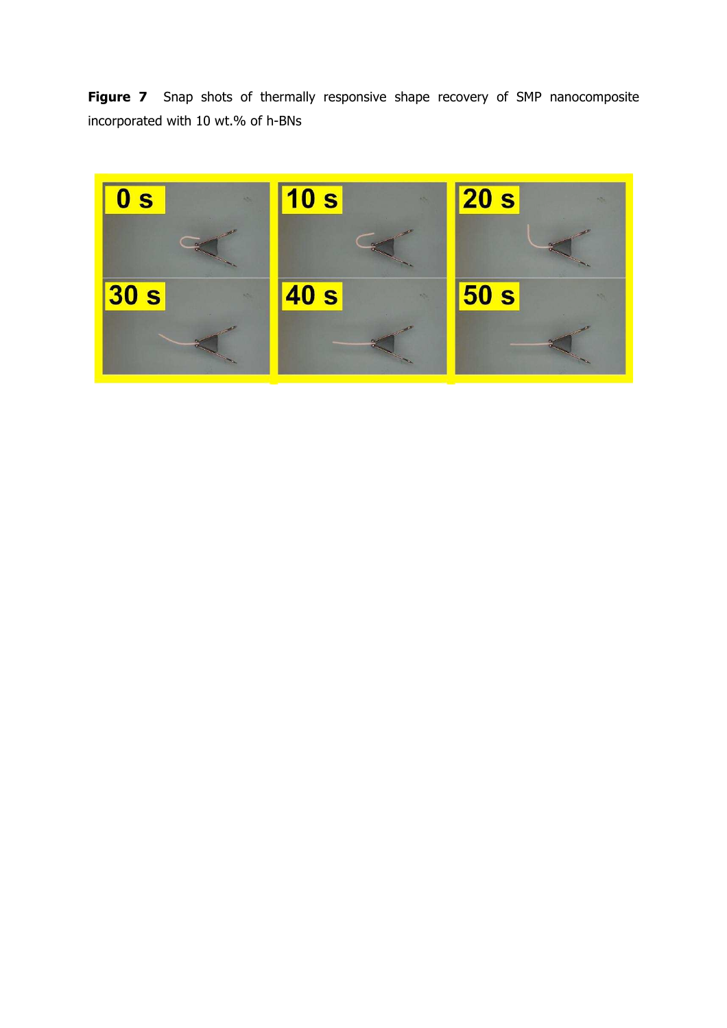**Figure 7** Snap shots of thermally responsive shape recovery of SMP nanocomposite incorporated with 10 wt.% of h-BNs